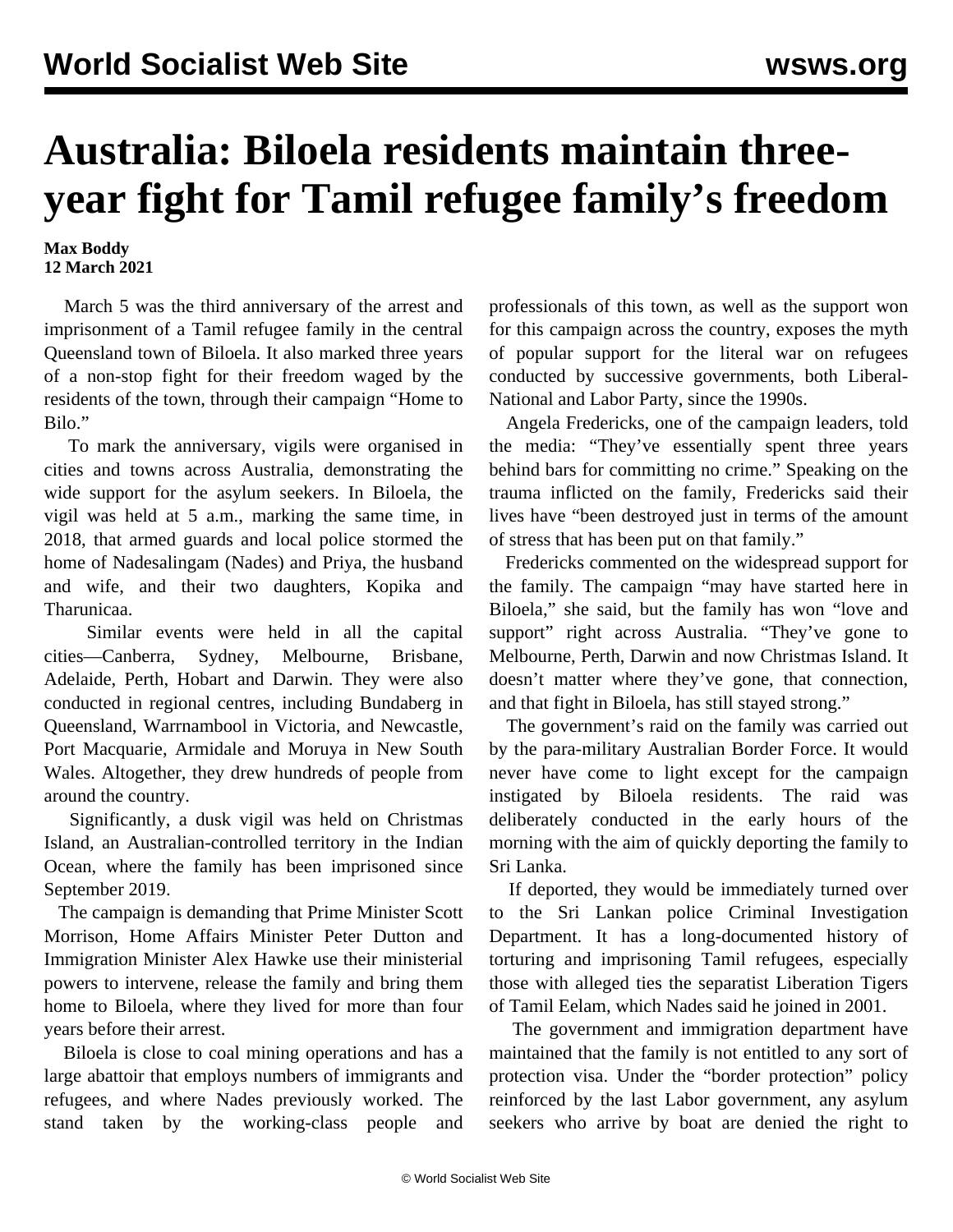## **Australia: Biloela residents maintain threeyear fight for Tamil refugee family's freedom**

## **Max Boddy 12 March 2021**

 March 5 was the third anniversary of the arrest and imprisonment of a Tamil refugee family in the central Queensland town of Biloela. It also marked three years of a non-stop fight for their freedom waged by the residents of the town, through their campaign "Home to Bilo."

 To mark the anniversary, vigils were organised in cities and towns across Australia, demonstrating the wide support for the asylum seekers. In Biloela, the vigil was held at 5 a.m., marking the same time, in 2018, that armed guards and local police stormed the home of Nadesalingam (Nades) and Priya, the husband and wife, and their two daughters, Kopika and Tharunicaa.

 Similar events were held in all the capital cities—Canberra, Sydney, Melbourne, Brisbane, Adelaide, Perth, Hobart and Darwin. They were also conducted in regional centres, including Bundaberg in Queensland, Warrnambool in Victoria, and Newcastle, Port Macquarie, Armidale and Moruya in New South Wales. Altogether, they drew hundreds of people from around the country.

 Significantly, a dusk vigil was held on Christmas Island, an Australian-controlled territory in the Indian Ocean, where the family has been imprisoned since September 2019.

 The campaign is demanding that Prime Minister Scott Morrison, Home Affairs Minister Peter Dutton and Immigration Minister Alex Hawke use their ministerial powers to intervene, release the family and bring them home to Biloela, where they lived for more than four years before their arrest.

 Biloela is close to coal mining operations and has a large abattoir that employs numbers of immigrants and refugees, and where Nades previously worked. The stand taken by the working-class people and professionals of this town, as well as the support won for this campaign across the country, exposes the myth of popular support for the literal war on refugees conducted by successive governments, both Liberal-National and Labor Party, since the 1990s.

 Angela Fredericks, one of the campaign leaders, told the media: "They've essentially spent three years behind bars for committing no crime." Speaking on the trauma inflicted on the family, Fredericks said their lives have "been destroyed just in terms of the amount of stress that has been put on that family."

 Fredericks commented on the widespread support for the family. The campaign "may have started here in Biloela," she said, but the family has won "love and support" right across Australia. "They've gone to Melbourne, Perth, Darwin and now Christmas Island. It doesn't matter where they've gone, that connection, and that fight in Biloela, has still stayed strong."

 The government's raid on the family was carried out by the para-military Australian Border Force. It would never have come to light except for the campaign instigated by Biloela residents. The raid was deliberately conducted in the early hours of the morning with the aim of quickly deporting the family to Sri Lanka.

 If deported, they would be immediately turned over to the Sri Lankan police Criminal Investigation Department. It has a long-documented history of torturing and imprisoning Tamil refugees, especially those with alleged ties the separatist Liberation Tigers of Tamil Eelam, which Nades said he joined in 2001.

 The government and immigration department have maintained that the family is not entitled to any sort of protection visa. Under the "border protection" policy reinforced by the last Labor government, any asylum seekers who arrive by boat are denied the right to